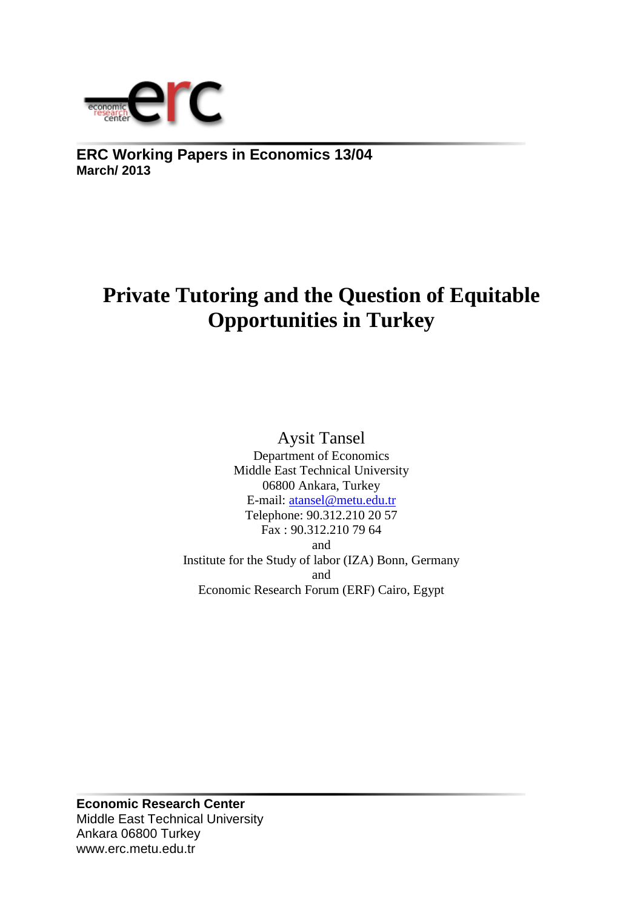

**ERC Working Papers in Economics 13/04 March/ 2013**

# **Private Tutoring and the Question of Equitable Opportunities in Turkey**

Aysit Tansel

Department of Economics Middle East Technical University 06800 Ankara, Turkey E-mail: [atansel@metu.edu.tr](mailto:atansel@metu.edu.tr) Telephone: 90.312.210 20 57 Fax : 90.312.210 79 64 and Institute for the Study of labor (IZA) Bonn, Germany and Economic Research Forum (ERF) Cairo, Egypt

**Economic Research Center** Middle East Technical University Ankara 06800 Turkey www.erc.metu.edu.tr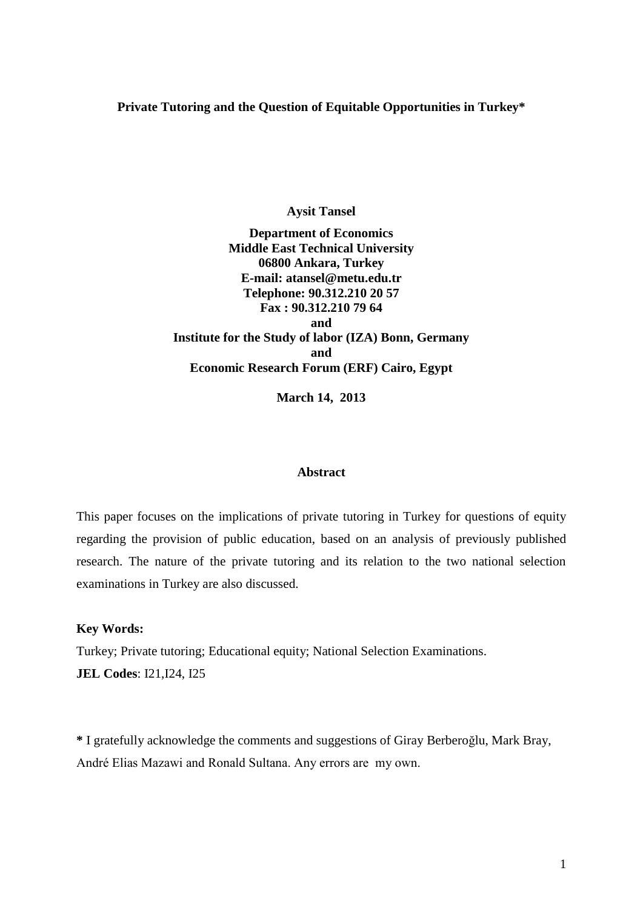### **Private Tutoring and the Question of Equitable Opportunities in Turkey\***

**Aysit Tansel**

**Department of Economics Middle East Technical University 06800 Ankara, Turkey E-mail: atansel@metu.edu.tr Telephone: 90.312.210 20 57 Fax : 90.312.210 79 64 and Institute for the Study of labor (IZA) Bonn, Germany and Economic Research Forum (ERF) Cairo, Egypt**

**March 14, 2013**

#### **Abstract**

This paper focuses on the implications of private tutoring in Turkey for questions of equity regarding the provision of public education, based on an analysis of previously published research. The nature of the private tutoring and its relation to the two national selection examinations in Turkey are also discussed.

#### **Key Words:**

Turkey; Private tutoring; Educational equity; National Selection Examinations. **JEL Codes**: I21,I24, I25

**\*** I gratefully acknowledge the comments and suggestions of Giray Berberoğlu, Mark Bray, André Elias Mazawi and Ronald Sultana. Any errors are my own.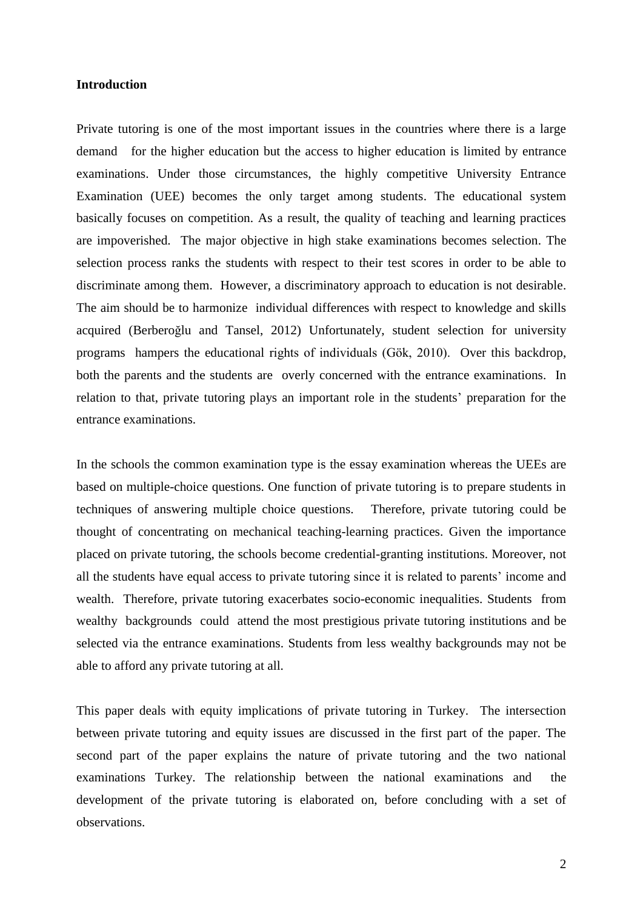#### **Introduction**

Private tutoring is one of the most important issues in the countries where there is a large demand for the higher education but the access to higher education is limited by entrance examinations. Under those circumstances, the highly competitive University Entrance Examination (UEE) becomes the only target among students. The educational system basically focuses on competition. As a result, the quality of teaching and learning practices are impoverished. The major objective in high stake examinations becomes selection. The selection process ranks the students with respect to their test scores in order to be able to discriminate among them. However, a discriminatory approach to education is not desirable. The aim should be to harmonize individual differences with respect to knowledge and skills acquired (Berberoğlu and Tansel, 2012) Unfortunately, student selection for university programs hampers the educational rights of individuals (Gök, 2010). Over this backdrop, both the parents and the students are overly concerned with the entrance examinations. In relation to that, private tutoring plays an important role in the students' preparation for the entrance examinations.

In the schools the common examination type is the essay examination whereas the UEEs are based on multiple-choice questions. One function of private tutoring is to prepare students in techniques of answering multiple choice questions. Therefore, private tutoring could be thought of concentrating on mechanical teaching-learning practices. Given the importance placed on private tutoring, the schools become credential-granting institutions. Moreover, not all the students have equal access to private tutoring since it is related to parents' income and wealth. Therefore, private tutoring exacerbates socio-economic inequalities. Students from wealthy backgrounds could attend the most prestigious private tutoring institutions and be selected via the entrance examinations. Students from less wealthy backgrounds may not be able to afford any private tutoring at all.

This paper deals with equity implications of private tutoring in Turkey. The intersection between private tutoring and equity issues are discussed in the first part of the paper. The second part of the paper explains the nature of private tutoring and the two national examinations Turkey. The relationship between the national examinations and the development of the private tutoring is elaborated on, before concluding with a set of observations.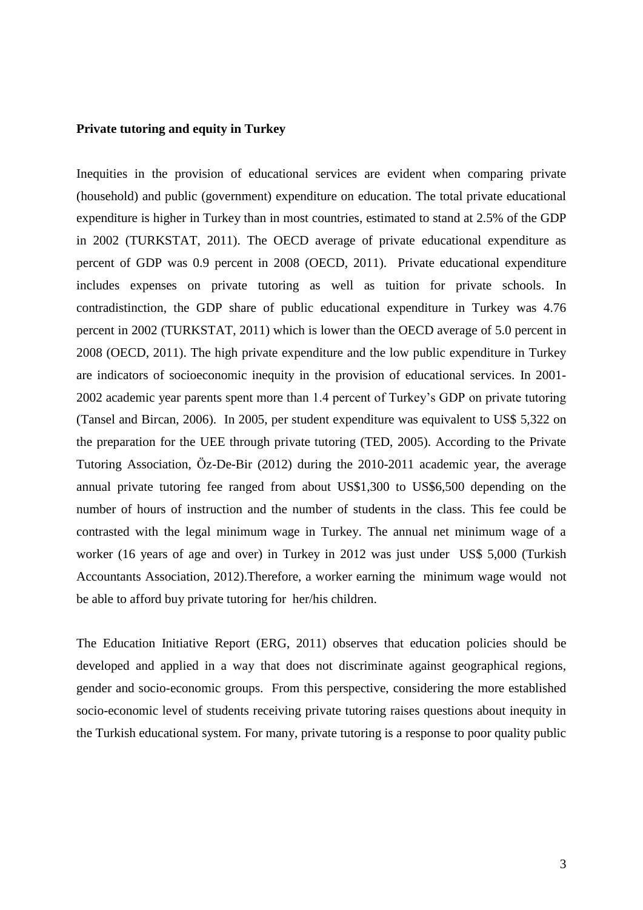#### **Private tutoring and equity in Turkey**

Inequities in the provision of educational services are evident when comparing private (household) and public (government) expenditure on education. The total private educational expenditure is higher in Turkey than in most countries, estimated to stand at 2.5% of the GDP in 2002 (TURKSTAT, 2011). The OECD average of private educational expenditure as percent of GDP was 0.9 percent in 2008 (OECD, 2011). Private educational expenditure includes expenses on private tutoring as well as tuition for private schools. In contradistinction, the GDP share of public educational expenditure in Turkey was 4.76 percent in 2002 (TURKSTAT, 2011) which is lower than the OECD average of 5.0 percent in 2008 (OECD, 2011). The high private expenditure and the low public expenditure in Turkey are indicators of socioeconomic inequity in the provision of educational services. In 2001- 2002 academic year parents spent more than 1.4 percent of Turkey's GDP on private tutoring (Tansel and Bircan, 2006). In 2005, per student expenditure was equivalent to US\$ 5,322 on the preparation for the UEE through private tutoring (TED, 2005). According to the Private Tutoring Association, Öz-De-Bir (2012) during the 2010-2011 academic year, the average annual private tutoring fee ranged from about US\$1,300 to US\$6,500 depending on the number of hours of instruction and the number of students in the class. This fee could be contrasted with the legal minimum wage in Turkey. The annual net minimum wage of a worker (16 years of age and over) in Turkey in 2012 was just under US\$ 5,000 (Turkish Accountants Association, 2012).Therefore, a worker earning the minimum wage would not be able to afford buy private tutoring for her/his children.

The Education Initiative Report (ERG, 2011) observes that education policies should be developed and applied in a way that does not discriminate against geographical regions, gender and socio-economic groups. From this perspective, considering the more established socio-economic level of students receiving private tutoring raises questions about inequity in the Turkish educational system. For many, private tutoring is a response to poor quality public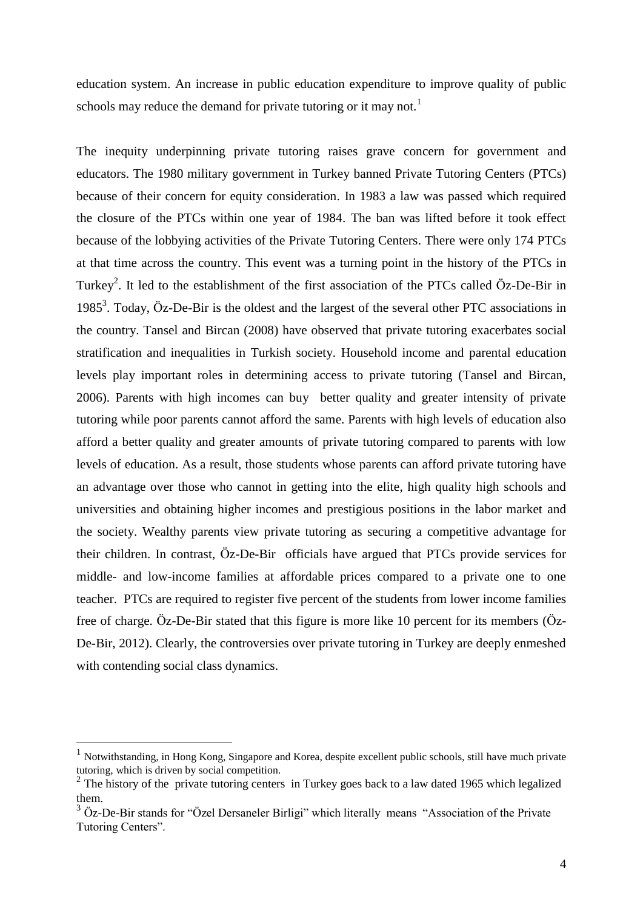education system. An increase in public education expenditure to improve quality of public schools may reduce the demand for private tutoring or it may not.<sup>1</sup>

The inequity underpinning private tutoring raises grave concern for government and educators. The 1980 military government in Turkey banned Private Tutoring Centers (PTCs) because of their concern for equity consideration. In 1983 a law was passed which required the closure of the PTCs within one year of 1984. The ban was lifted before it took effect because of the lobbying activities of the Private Tutoring Centers. There were only 174 PTCs at that time across the country. This event was a turning point in the history of the PTCs in Turkey<sup>2</sup>. It led to the establishment of the first association of the PTCs called Öz-De-Bir in 1985<sup>3</sup>. Today, Öz-De-Bir is the oldest and the largest of the several other PTC associations in the country. Tansel and Bircan (2008) have observed that private tutoring exacerbates social stratification and inequalities in Turkish society. Household income and parental education levels play important roles in determining access to private tutoring (Tansel and Bircan, 2006). Parents with high incomes can buy better quality and greater intensity of private tutoring while poor parents cannot afford the same. Parents with high levels of education also afford a better quality and greater amounts of private tutoring compared to parents with low levels of education. As a result, those students whose parents can afford private tutoring have an advantage over those who cannot in getting into the elite, high quality high schools and universities and obtaining higher incomes and prestigious positions in the labor market and the society. Wealthy parents view private tutoring as securing a competitive advantage for their children. In contrast, Öz-De-Bir officials have argued that PTCs provide services for middle- and low-income families at affordable prices compared to a private one to one teacher. PTCs are required to register five percent of the students from lower income families free of charge. Öz-De-Bir stated that this figure is more like 10 percent for its members (Öz-De-Bir, 2012). Clearly, the controversies over private tutoring in Turkey are deeply enmeshed with contending social class dynamics.

1

<sup>1</sup> Notwithstanding, in Hong Kong, Singapore and Korea, despite excellent public schools, still have much private tutoring, which is driven by social competition. 2 The history of the private tutoring centers in Turkey goes back to a law dated 1965 which legalized

them.

 $3\overline{O}$  Öz-De-Bir stands for "Özel Dersaneler Birligi" which literally means "Association of the Private Tutoring Centers".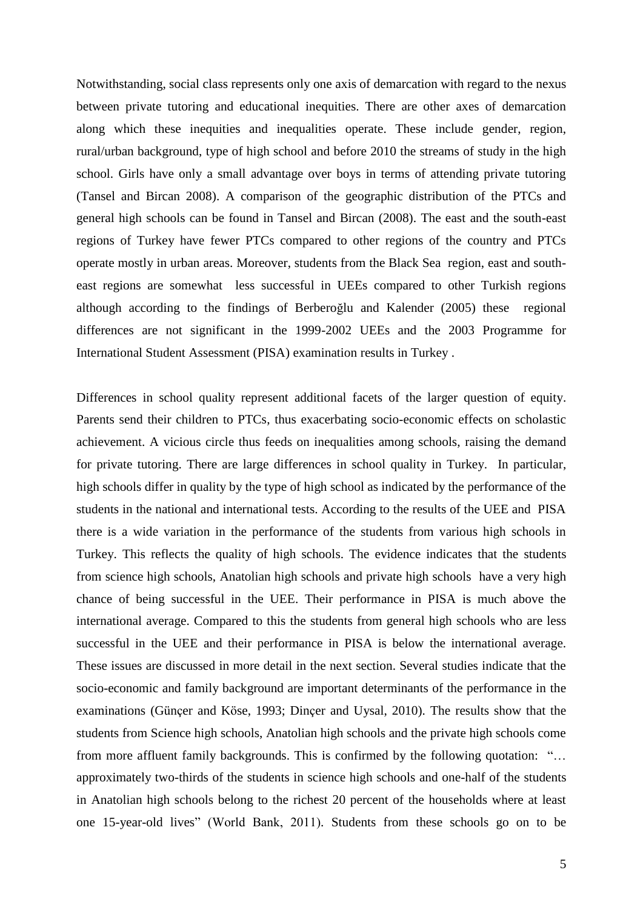Notwithstanding, social class represents only one axis of demarcation with regard to the nexus between private tutoring and educational inequities. There are other axes of demarcation along which these inequities and inequalities operate. These include gender, region, rural/urban background, type of high school and before 2010 the streams of study in the high school. Girls have only a small advantage over boys in terms of attending private tutoring (Tansel and Bircan 2008). A comparison of the geographic distribution of the PTCs and general high schools can be found in Tansel and Bircan (2008). The east and the south-east regions of Turkey have fewer PTCs compared to other regions of the country and PTCs operate mostly in urban areas. Moreover, students from the Black Sea region, east and southeast regions are somewhat less successful in UEEs compared to other Turkish regions although according to the findings of Berberoğlu and Kalender (2005) these regional differences are not significant in the 1999-2002 UEEs and the 2003 Programme for International Student Assessment (PISA) examination results in Turkey .

Differences in school quality represent additional facets of the larger question of equity. Parents send their children to PTCs, thus exacerbating socio-economic effects on scholastic achievement. A vicious circle thus feeds on inequalities among schools, raising the demand for private tutoring. There are large differences in school quality in Turkey. In particular, high schools differ in quality by the type of high school as indicated by the performance of the students in the national and international tests. According to the results of the UEE and PISA there is a wide variation in the performance of the students from various high schools in Turkey. This reflects the quality of high schools. The evidence indicates that the students from science high schools, Anatolian high schools and private high schools have a very high chance of being successful in the UEE. Their performance in PISA is much above the international average. Compared to this the students from general high schools who are less successful in the UEE and their performance in PISA is below the international average. These issues are discussed in more detail in the next section. Several studies indicate that the socio-economic and family background are important determinants of the performance in the examinations (Günçer and Köse, 1993; Dinçer and Uysal, 2010). The results show that the students from Science high schools, Anatolian high schools and the private high schools come from more affluent family backgrounds. This is confirmed by the following quotation: "… approximately two-thirds of the students in science high schools and one-half of the students in Anatolian high schools belong to the richest 20 percent of the households where at least one 15-year-old lives" (World Bank, 2011). Students from these schools go on to be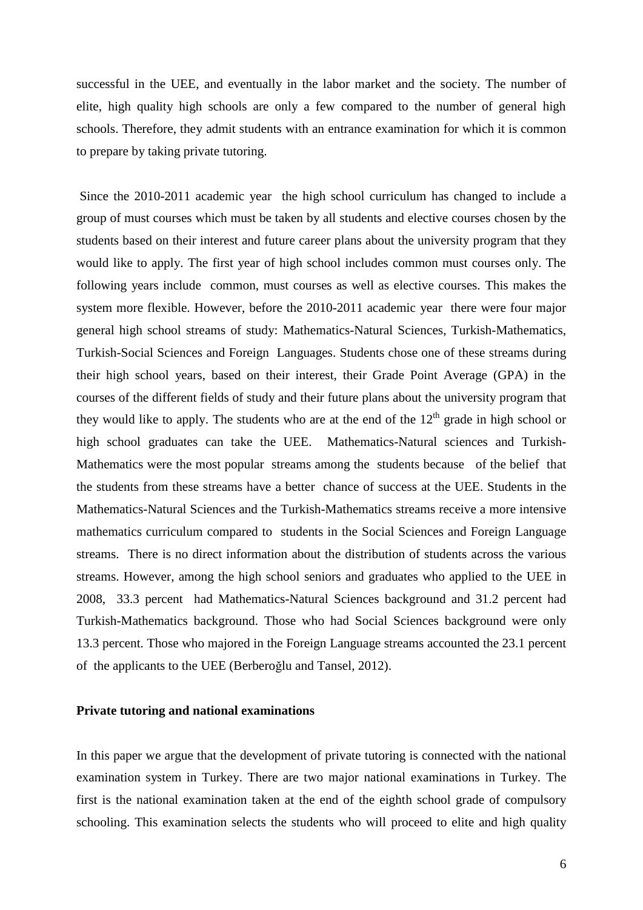successful in the UEE, and eventually in the labor market and the society. The number of elite, high quality high schools are only a few compared to the number of general high schools. Therefore, they admit students with an entrance examination for which it is common to prepare by taking private tutoring.

Since the 2010-2011 academic year the high school curriculum has changed to include a group of must courses which must be taken by all students and elective courses chosen by the students based on their interest and future career plans about the university program that they would like to apply. The first year of high school includes common must courses only. The following years include common, must courses as well as elective courses. This makes the system more flexible. However, before the 2010-2011 academic year there were four major general high school streams of study: Mathematics-Natural Sciences, Turkish-Mathematics, Turkish-Social Sciences and Foreign Languages. Students chose one of these streams during their high school years, based on their interest, their Grade Point Average (GPA) in the courses of the different fields of study and their future plans about the university program that they would like to apply. The students who are at the end of the  $12<sup>th</sup>$  grade in high school or high school graduates can take the UEE. Mathematics-Natural sciences and Turkish-Mathematics were the most popular streams among the students because of the belief that the students from these streams have a better chance of success at the UEE. Students in the Mathematics-Natural Sciences and the Turkish-Mathematics streams receive a more intensive mathematics curriculum compared to students in the Social Sciences and Foreign Language streams. There is no direct information about the distribution of students across the various streams. However, among the high school seniors and graduates who applied to the UEE in 2008, 33.3 percent had Mathematics-Natural Sciences background and 31.2 percent had Turkish-Mathematics background. Those who had Social Sciences background were only 13.3 percent. Those who majored in the Foreign Language streams accounted the 23.1 percent of the applicants to the UEE (Berberoğlu and Tansel, 2012).

#### **Private tutoring and national examinations**

In this paper we argue that the development of private tutoring is connected with the national examination system in Turkey. There are two major national examinations in Turkey. The first is the national examination taken at the end of the eighth school grade of compulsory schooling. This examination selects the students who will proceed to elite and high quality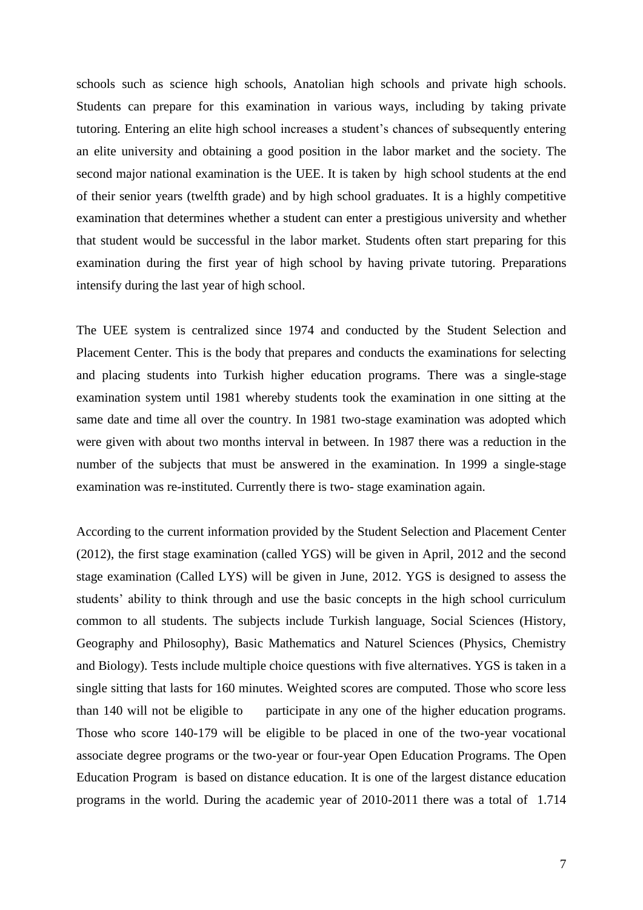schools such as science high schools, Anatolian high schools and private high schools. Students can prepare for this examination in various ways, including by taking private tutoring. Entering an elite high school increases a student's chances of subsequently entering an elite university and obtaining a good position in the labor market and the society. The second major national examination is the UEE. It is taken by high school students at the end of their senior years (twelfth grade) and by high school graduates. It is a highly competitive examination that determines whether a student can enter a prestigious university and whether that student would be successful in the labor market. Students often start preparing for this examination during the first year of high school by having private tutoring. Preparations intensify during the last year of high school.

The UEE system is centralized since 1974 and conducted by the Student Selection and Placement Center. This is the body that prepares and conducts the examinations for selecting and placing students into Turkish higher education programs. There was a single-stage examination system until 1981 whereby students took the examination in one sitting at the same date and time all over the country. In 1981 two-stage examination was adopted which were given with about two months interval in between. In 1987 there was a reduction in the number of the subjects that must be answered in the examination. In 1999 a single-stage examination was re-instituted. Currently there is two- stage examination again.

According to the current information provided by the Student Selection and Placement Center (2012), the first stage examination (called YGS) will be given in April, 2012 and the second stage examination (Called LYS) will be given in June, 2012. YGS is designed to assess the students' ability to think through and use the basic concepts in the high school curriculum common to all students. The subjects include Turkish language, Social Sciences (History, Geography and Philosophy), Basic Mathematics and Naturel Sciences (Physics, Chemistry and Biology). Tests include multiple choice questions with five alternatives. YGS is taken in a single sitting that lasts for 160 minutes. Weighted scores are computed. Those who score less than 140 will not be eligible to participate in any one of the higher education programs. Those who score 140-179 will be eligible to be placed in one of the two-year vocational associate degree programs or the two-year or four-year Open Education Programs. The Open Education Program is based on distance education. It is one of the largest distance education programs in the world. During the academic year of 2010-2011 there was a total of 1.714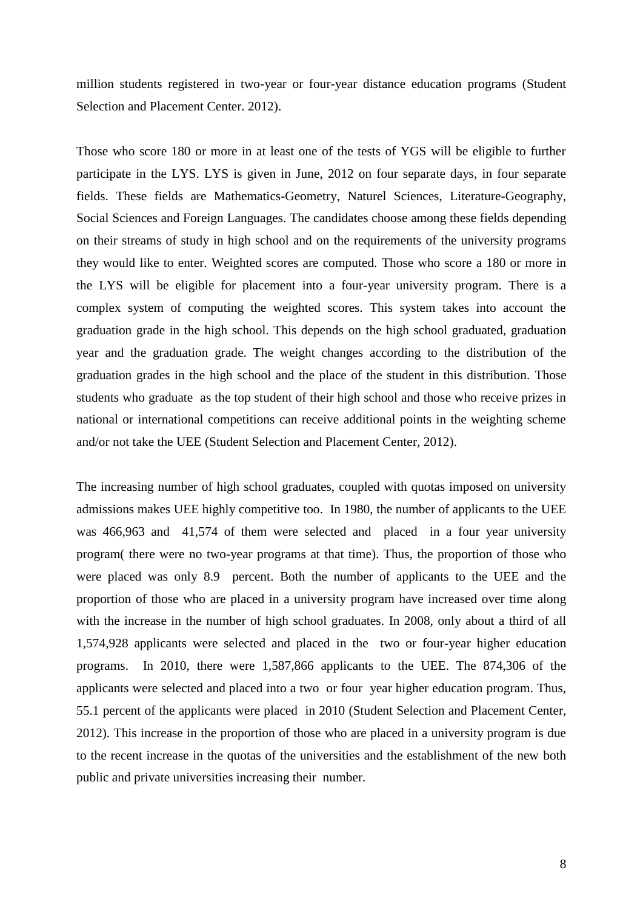million students registered in two-year or four-year distance education programs (Student Selection and Placement Center. 2012).

Those who score 180 or more in at least one of the tests of YGS will be eligible to further participate in the LYS. LYS is given in June, 2012 on four separate days, in four separate fields. These fields are Mathematics-Geometry, Naturel Sciences, Literature-Geography, Social Sciences and Foreign Languages. The candidates choose among these fields depending on their streams of study in high school and on the requirements of the university programs they would like to enter. Weighted scores are computed. Those who score a 180 or more in the LYS will be eligible for placement into a four-year university program. There is a complex system of computing the weighted scores. This system takes into account the graduation grade in the high school. This depends on the high school graduated, graduation year and the graduation grade. The weight changes according to the distribution of the graduation grades in the high school and the place of the student in this distribution. Those students who graduate as the top student of their high school and those who receive prizes in national or international competitions can receive additional points in the weighting scheme and/or not take the UEE (Student Selection and Placement Center, 2012).

The increasing number of high school graduates, coupled with quotas imposed on university admissions makes UEE highly competitive too. In 1980, the number of applicants to the UEE was 466,963 and 41,574 of them were selected and placed in a four year university program( there were no two-year programs at that time). Thus, the proportion of those who were placed was only 8.9 percent. Both the number of applicants to the UEE and the proportion of those who are placed in a university program have increased over time along with the increase in the number of high school graduates. In 2008, only about a third of all 1,574,928 applicants were selected and placed in the two or four-year higher education programs. In 2010, there were 1,587,866 applicants to the UEE. The 874,306 of the applicants were selected and placed into a two or four year higher education program. Thus, 55.1 percent of the applicants were placed in 2010 (Student Selection and Placement Center, 2012). This increase in the proportion of those who are placed in a university program is due to the recent increase in the quotas of the universities and the establishment of the new both public and private universities increasing their number.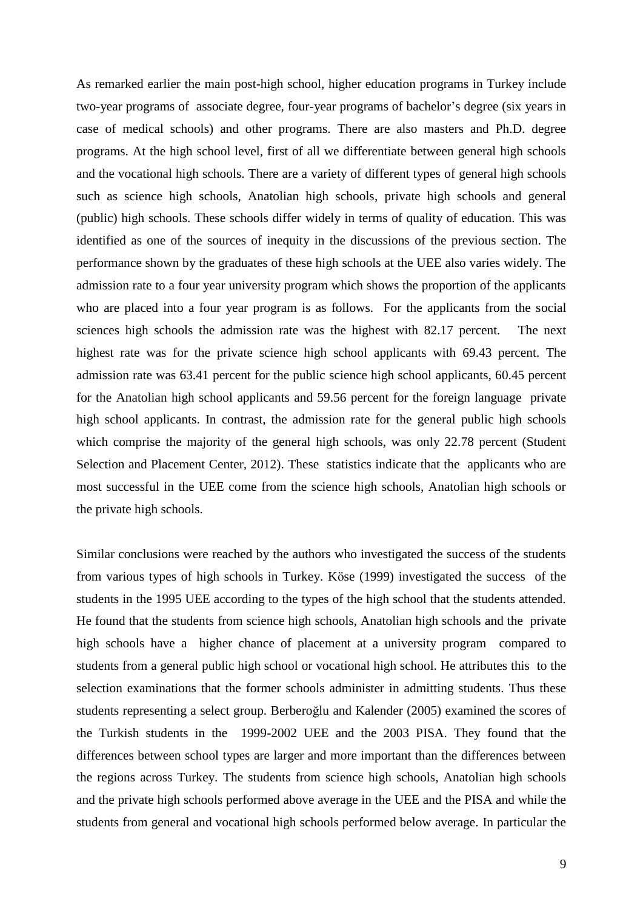As remarked earlier the main post-high school, higher education programs in Turkey include two-year programs of associate degree, four-year programs of bachelor's degree (six years in case of medical schools) and other programs. There are also masters and Ph.D. degree programs. At the high school level, first of all we differentiate between general high schools and the vocational high schools. There are a variety of different types of general high schools such as science high schools, Anatolian high schools, private high schools and general (public) high schools. These schools differ widely in terms of quality of education. This was identified as one of the sources of inequity in the discussions of the previous section. The performance shown by the graduates of these high schools at the UEE also varies widely. The admission rate to a four year university program which shows the proportion of the applicants who are placed into a four year program is as follows. For the applicants from the social sciences high schools the admission rate was the highest with 82.17 percent. The next highest rate was for the private science high school applicants with 69.43 percent. The admission rate was 63.41 percent for the public science high school applicants, 60.45 percent for the Anatolian high school applicants and 59.56 percent for the foreign language private high school applicants. In contrast, the admission rate for the general public high schools which comprise the majority of the general high schools, was only 22.78 percent (Student Selection and Placement Center, 2012). These statistics indicate that the applicants who are most successful in the UEE come from the science high schools, Anatolian high schools or the private high schools.

Similar conclusions were reached by the authors who investigated the success of the students from various types of high schools in Turkey. Köse (1999) investigated the success of the students in the 1995 UEE according to the types of the high school that the students attended. He found that the students from science high schools, Anatolian high schools and the private high schools have a higher chance of placement at a university program compared to students from a general public high school or vocational high school. He attributes this to the selection examinations that the former schools administer in admitting students. Thus these students representing a select group. Berberoğlu and Kalender (2005) examined the scores of the Turkish students in the 1999-2002 UEE and the 2003 PISA. They found that the differences between school types are larger and more important than the differences between the regions across Turkey. The students from science high schools, Anatolian high schools and the private high schools performed above average in the UEE and the PISA and while the students from general and vocational high schools performed below average. In particular the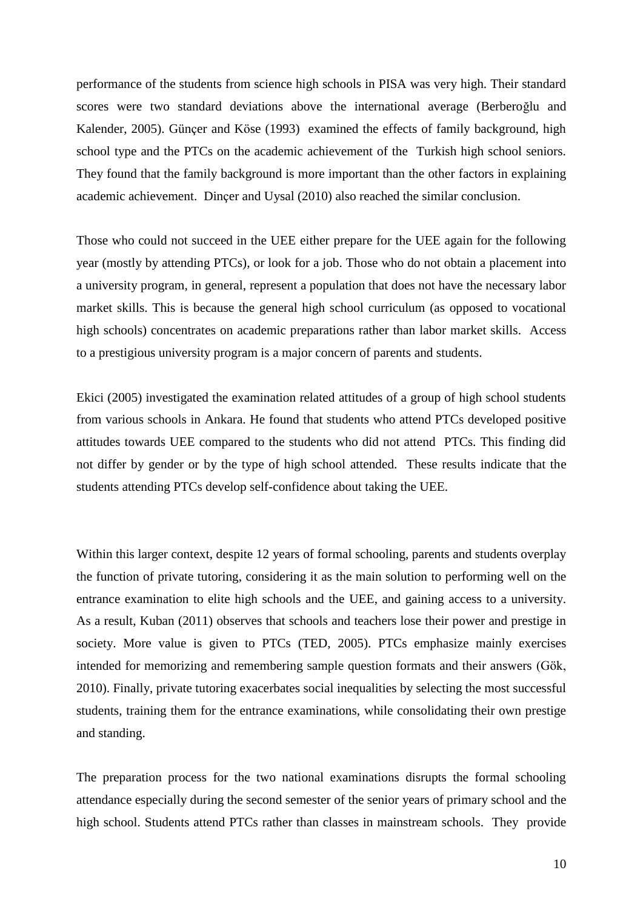performance of the students from science high schools in PISA was very high. Their standard scores were two standard deviations above the international average (Berberoğlu and Kalender, 2005). Günçer and Köse (1993) examined the effects of family background, high school type and the PTCs on the academic achievement of the Turkish high school seniors. They found that the family background is more important than the other factors in explaining academic achievement. Dinçer and Uysal (2010) also reached the similar conclusion.

Those who could not succeed in the UEE either prepare for the UEE again for the following year (mostly by attending PTCs), or look for a job. Those who do not obtain a placement into a university program, in general, represent a population that does not have the necessary labor market skills. This is because the general high school curriculum (as opposed to vocational high schools) concentrates on academic preparations rather than labor market skills. Access to a prestigious university program is a major concern of parents and students.

Ekici (2005) investigated the examination related attitudes of a group of high school students from various schools in Ankara. He found that students who attend PTCs developed positive attitudes towards UEE compared to the students who did not attend PTCs. This finding did not differ by gender or by the type of high school attended. These results indicate that the students attending PTCs develop self-confidence about taking the UEE.

Within this larger context, despite 12 years of formal schooling, parents and students overplay the function of private tutoring, considering it as the main solution to performing well on the entrance examination to elite high schools and the UEE, and gaining access to a university. As a result, Kuban (2011) observes that schools and teachers lose their power and prestige in society. More value is given to PTCs (TED, 2005). PTCs emphasize mainly exercises intended for memorizing and remembering sample question formats and their answers (Gök, 2010). Finally, private tutoring exacerbates social inequalities by selecting the most successful students, training them for the entrance examinations, while consolidating their own prestige and standing.

The preparation process for the two national examinations disrupts the formal schooling attendance especially during the second semester of the senior years of primary school and the high school. Students attend PTCs rather than classes in mainstream schools. They provide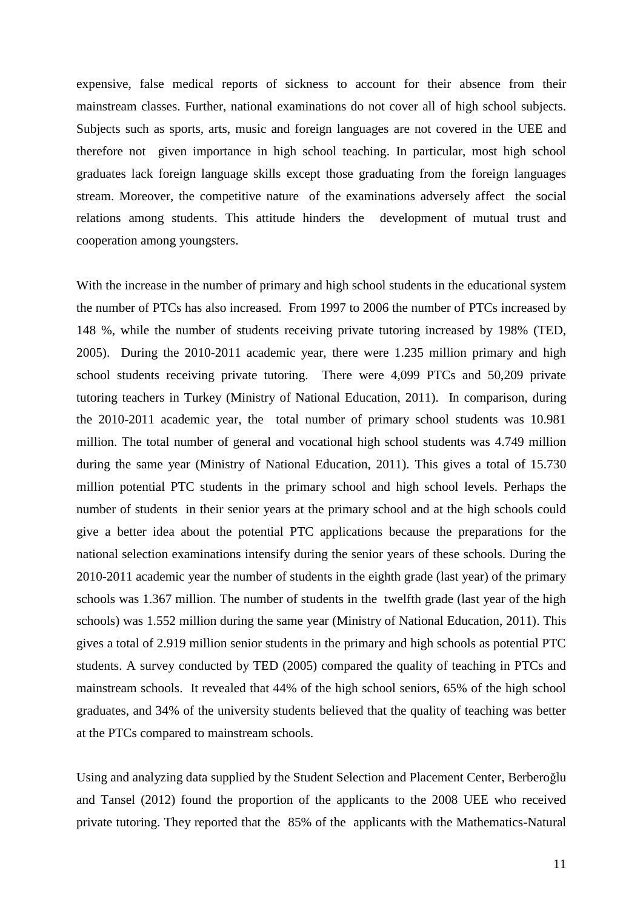expensive, false medical reports of sickness to account for their absence from their mainstream classes. Further, national examinations do not cover all of high school subjects. Subjects such as sports, arts, music and foreign languages are not covered in the UEE and therefore not given importance in high school teaching. In particular, most high school graduates lack foreign language skills except those graduating from the foreign languages stream. Moreover, the competitive nature of the examinations adversely affect the social relations among students. This attitude hinders the development of mutual trust and cooperation among youngsters.

With the increase in the number of primary and high school students in the educational system the number of PTCs has also increased. From 1997 to 2006 the number of PTCs increased by 148 %, while the number of students receiving private tutoring increased by 198% (TED, 2005). During the 2010-2011 academic year, there were 1.235 million primary and high school students receiving private tutoring. There were 4,099 PTCs and 50,209 private tutoring teachers in Turkey (Ministry of National Education, 2011). In comparison, during the 2010-2011 academic year, the total number of primary school students was 10.981 million. The total number of general and vocational high school students was 4.749 million during the same year (Ministry of National Education, 2011). This gives a total of 15.730 million potential PTC students in the primary school and high school levels. Perhaps the number of students in their senior years at the primary school and at the high schools could give a better idea about the potential PTC applications because the preparations for the national selection examinations intensify during the senior years of these schools. During the 2010-2011 academic year the number of students in the eighth grade (last year) of the primary schools was 1.367 million. The number of students in the twelfth grade (last year of the high schools) was 1.552 million during the same year (Ministry of National Education, 2011). This gives a total of 2.919 million senior students in the primary and high schools as potential PTC students. A survey conducted by TED (2005) compared the quality of teaching in PTCs and mainstream schools. It revealed that 44% of the high school seniors, 65% of the high school graduates, and 34% of the university students believed that the quality of teaching was better at the PTCs compared to mainstream schools.

Using and analyzing data supplied by the Student Selection and Placement Center, Berberoğlu and Tansel (2012) found the proportion of the applicants to the 2008 UEE who received private tutoring. They reported that the 85% of the applicants with the Mathematics-Natural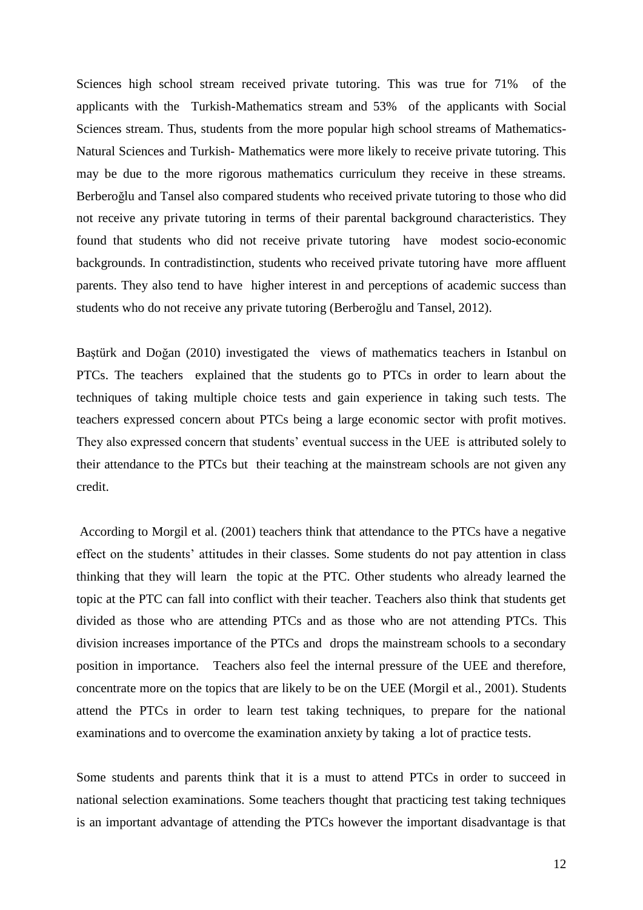Sciences high school stream received private tutoring. This was true for 71% of the applicants with the Turkish-Mathematics stream and 53% of the applicants with Social Sciences stream. Thus, students from the more popular high school streams of Mathematics-Natural Sciences and Turkish- Mathematics were more likely to receive private tutoring. This may be due to the more rigorous mathematics curriculum they receive in these streams. Berberoğlu and Tansel also compared students who received private tutoring to those who did not receive any private tutoring in terms of their parental background characteristics. They found that students who did not receive private tutoring have modest socio-economic backgrounds. In contradistinction, students who received private tutoring have more affluent parents. They also tend to have higher interest in and perceptions of academic success than students who do not receive any private tutoring (Berberoğlu and Tansel, 2012).

Baştürk and Doğan (2010) investigated the views of mathematics teachers in Istanbul on PTCs. The teachers explained that the students go to PTCs in order to learn about the techniques of taking multiple choice tests and gain experience in taking such tests. The teachers expressed concern about PTCs being a large economic sector with profit motives. They also expressed concern that students' eventual success in the UEE is attributed solely to their attendance to the PTCs but their teaching at the mainstream schools are not given any credit.

According to Morgil et al. (2001) teachers think that attendance to the PTCs have a negative effect on the students' attitudes in their classes. Some students do not pay attention in class thinking that they will learn the topic at the PTC. Other students who already learned the topic at the PTC can fall into conflict with their teacher. Teachers also think that students get divided as those who are attending PTCs and as those who are not attending PTCs. This division increases importance of the PTCs and drops the mainstream schools to a secondary position in importance. Teachers also feel the internal pressure of the UEE and therefore, concentrate more on the topics that are likely to be on the UEE (Morgil et al., 2001). Students attend the PTCs in order to learn test taking techniques, to prepare for the national examinations and to overcome the examination anxiety by taking a lot of practice tests.

Some students and parents think that it is a must to attend PTCs in order to succeed in national selection examinations. Some teachers thought that practicing test taking techniques is an important advantage of attending the PTCs however the important disadvantage is that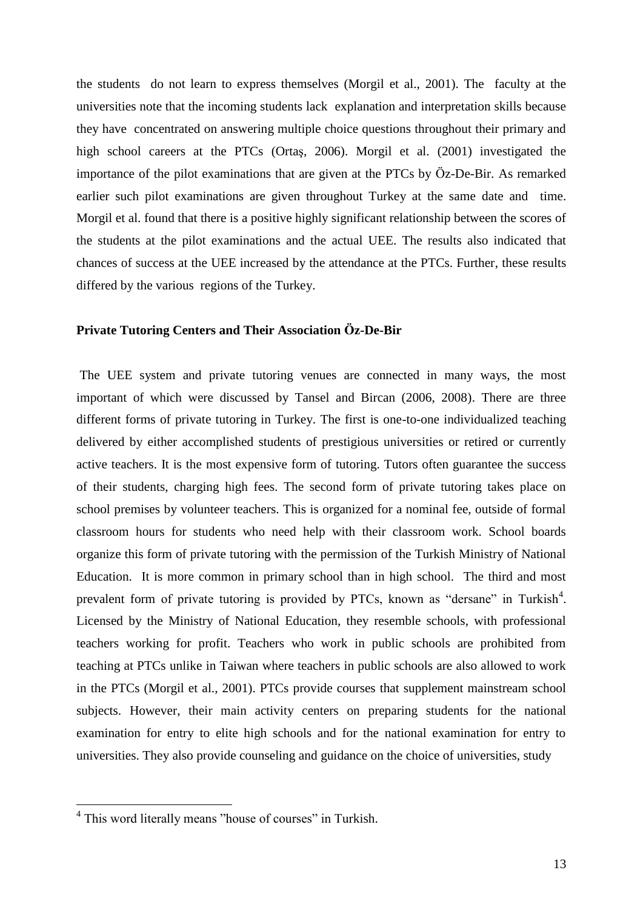the students do not learn to express themselves (Morgil et al., 2001). The faculty at the universities note that the incoming students lack explanation and interpretation skills because they have concentrated on answering multiple choice questions throughout their primary and high school careers at the PTCs (Ortaş, 2006). Morgil et al. (2001) investigated the importance of the pilot examinations that are given at the PTCs by Öz-De-Bir. As remarked earlier such pilot examinations are given throughout Turkey at the same date and time. Morgil et al. found that there is a positive highly significant relationship between the scores of the students at the pilot examinations and the actual UEE. The results also indicated that chances of success at the UEE increased by the attendance at the PTCs. Further, these results differed by the various regions of the Turkey.

#### **Private Tutoring Centers and Their Association Öz-De-Bir**

The UEE system and private tutoring venues are connected in many ways, the most important of which were discussed by Tansel and Bircan (2006, 2008). There are three different forms of private tutoring in Turkey. The first is one-to-one individualized teaching delivered by either accomplished students of prestigious universities or retired or currently active teachers. It is the most expensive form of tutoring. Tutors often guarantee the success of their students, charging high fees. The second form of private tutoring takes place on school premises by volunteer teachers. This is organized for a nominal fee, outside of formal classroom hours for students who need help with their classroom work. School boards organize this form of private tutoring with the permission of the Turkish Ministry of National Education. It is more common in primary school than in high school. The third and most prevalent form of private tutoring is provided by PTCs, known as "dersane" in Turkish<sup>4</sup>. Licensed by the Ministry of National Education, they resemble schools, with professional teachers working for profit. Teachers who work in public schools are prohibited from teaching at PTCs unlike in Taiwan where teachers in public schools are also allowed to work in the PTCs (Morgil et al., 2001). PTCs provide courses that supplement mainstream school subjects. However, their main activity centers on preparing students for the national examination for entry to elite high schools and for the national examination for entry to universities. They also provide counseling and guidance on the choice of universities, study

1

<sup>&</sup>lt;sup>4</sup> This word literally means "house of courses" in Turkish.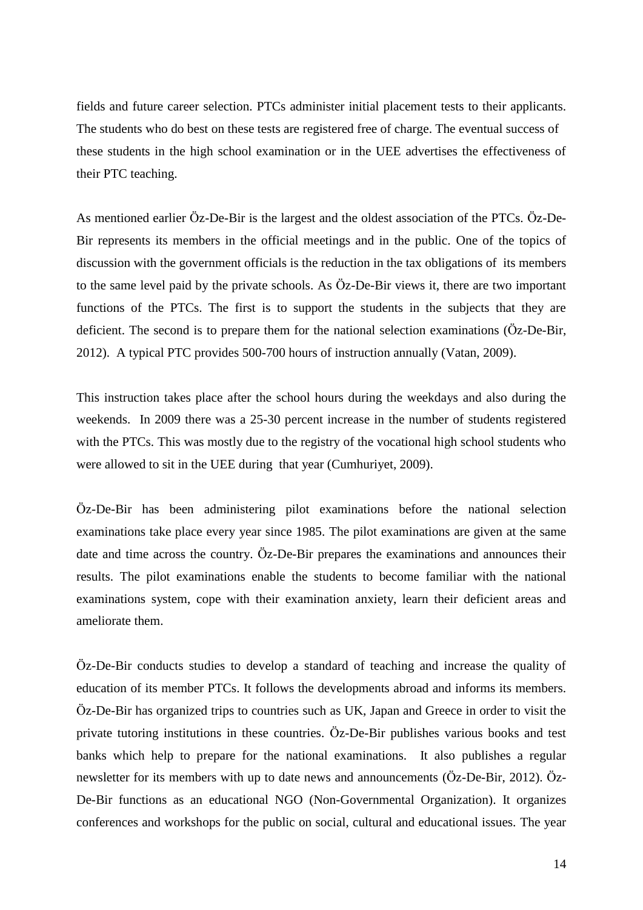fields and future career selection. PTCs administer initial placement tests to their applicants. The students who do best on these tests are registered free of charge. The eventual success of these students in the high school examination or in the UEE advertises the effectiveness of their PTC teaching.

As mentioned earlier Öz-De-Bir is the largest and the oldest association of the PTCs. Öz-De-Bir represents its members in the official meetings and in the public. One of the topics of discussion with the government officials is the reduction in the tax obligations of its members to the same level paid by the private schools. As Öz-De-Bir views it, there are two important functions of the PTCs. The first is to support the students in the subjects that they are deficient. The second is to prepare them for the national selection examinations (Öz-De-Bir, 2012). A typical PTC provides 500-700 hours of instruction annually (Vatan, 2009).

This instruction takes place after the school hours during the weekdays and also during the weekends. In 2009 there was a 25-30 percent increase in the number of students registered with the PTCs. This was mostly due to the registry of the vocational high school students who were allowed to sit in the UEE during that year (Cumhuriyet, 2009).

Öz-De-Bir has been administering pilot examinations before the national selection examinations take place every year since 1985. The pilot examinations are given at the same date and time across the country. Öz-De-Bir prepares the examinations and announces their results. The pilot examinations enable the students to become familiar with the national examinations system, cope with their examination anxiety, learn their deficient areas and ameliorate them.

Öz-De-Bir conducts studies to develop a standard of teaching and increase the quality of education of its member PTCs. It follows the developments abroad and informs its members. Öz-De-Bir has organized trips to countries such as UK, Japan and Greece in order to visit the private tutoring institutions in these countries. Öz-De-Bir publishes various books and test banks which help to prepare for the national examinations. It also publishes a regular newsletter for its members with up to date news and announcements (Öz-De-Bir, 2012). Öz-De-Bir functions as an educational NGO (Non-Governmental Organization). It organizes conferences and workshops for the public on social, cultural and educational issues. The year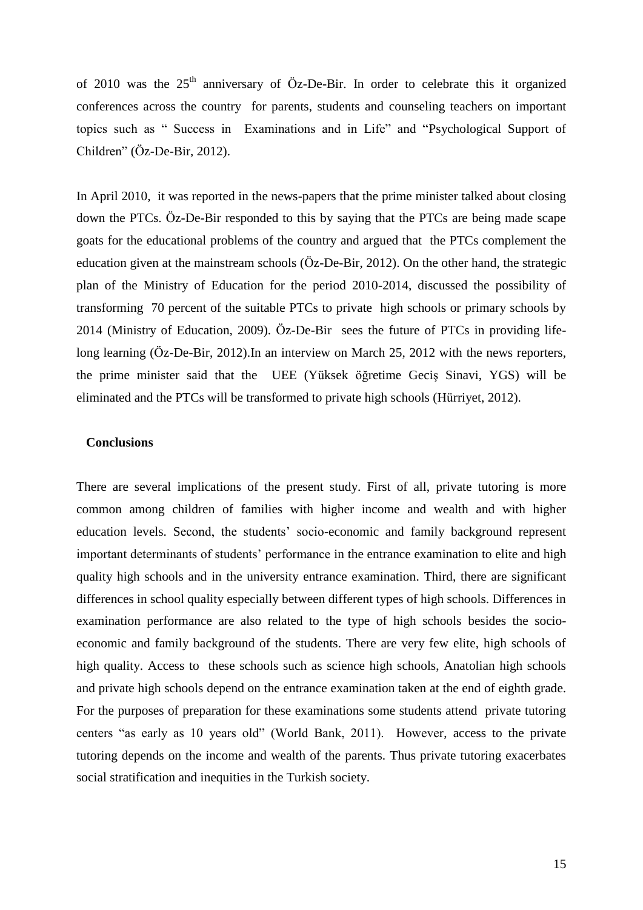of 2010 was the  $25<sup>th</sup>$  anniversary of Öz-De-Bir. In order to celebrate this it organized conferences across the country for parents, students and counseling teachers on important topics such as " Success in Examinations and in Life" and "Psychological Support of Children" (Öz-De-Bir, 2012).

In April 2010, it was reported in the news-papers that the prime minister talked about closing down the PTCs. Öz-De-Bir responded to this by saying that the PTCs are being made scape goats for the educational problems of the country and argued that the PTCs complement the education given at the mainstream schools (Öz-De-Bir, 2012). On the other hand, the strategic plan of the Ministry of Education for the period 2010-2014, discussed the possibility of transforming 70 percent of the suitable PTCs to private high schools or primary schools by 2014 (Ministry of Education, 2009). Öz-De-Bir sees the future of PTCs in providing lifelong learning (Öz-De-Bir, 2012).In an interview on March 25, 2012 with the news reporters, the prime minister said that the UEE (Yüksek öğretime Geciş Sinavi, YGS) will be eliminated and the PTCs will be transformed to private high schools (Hürriyet, 2012).

#### **Conclusions**

There are several implications of the present study. First of all, private tutoring is more common among children of families with higher income and wealth and with higher education levels. Second, the students' socio-economic and family background represent important determinants of students' performance in the entrance examination to elite and high quality high schools and in the university entrance examination. Third, there are significant differences in school quality especially between different types of high schools. Differences in examination performance are also related to the type of high schools besides the socioeconomic and family background of the students. There are very few elite, high schools of high quality. Access to these schools such as science high schools, Anatolian high schools and private high schools depend on the entrance examination taken at the end of eighth grade. For the purposes of preparation for these examinations some students attend private tutoring centers "as early as 10 years old" (World Bank, 2011). However, access to the private tutoring depends on the income and wealth of the parents. Thus private tutoring exacerbates social stratification and inequities in the Turkish society.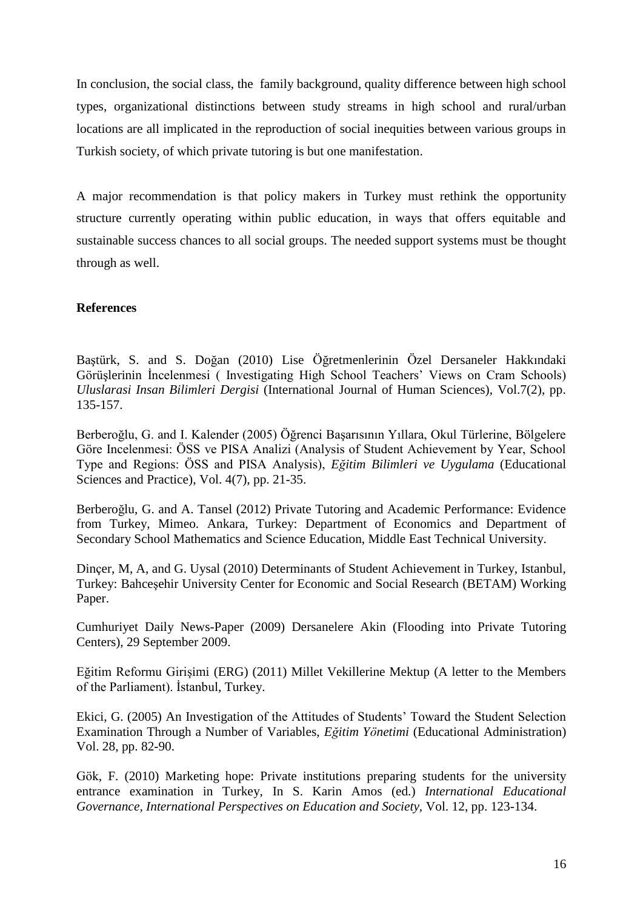In conclusion, the social class, the family background, quality difference between high school types, organizational distinctions between study streams in high school and rural/urban locations are all implicated in the reproduction of social inequities between various groups in Turkish society, of which private tutoring is but one manifestation.

A major recommendation is that policy makers in Turkey must rethink the opportunity structure currently operating within public education, in ways that offers equitable and sustainable success chances to all social groups. The needed support systems must be thought through as well.

## **References**

Baştürk, S. and S. Doğan (2010) Lise Öğretmenlerinin Özel Dersaneler Hakkındaki Görüşlerinin İncelenmesi ( Investigating High School Teachers' Views on Cram Schools) *Uluslarasi Insan Bilimleri Dergisi* (International Journal of Human Sciences), Vol.7(2), pp. 135-157.

Berberoğlu, G. and I. Kalender (2005) Öğrenci Başarısının Yıllara, Okul Türlerine, Bölgelere Göre Incelenmesi: ÖSS ve PISA Analizi (Analysis of Student Achievement by Year, School Type and Regions: ÖSS and PISA Analysis), *Eğitim Bilimleri ve Uygulama* (Educational Sciences and Practice), Vol. 4(7), pp. 21-35.

Berberoğlu, G. and A. Tansel (2012) Private Tutoring and Academic Performance: Evidence from Turkey, Mimeo. Ankara, Turkey: Department of Economics and Department of Secondary School Mathematics and Science Education, Middle East Technical University.

Dinçer, M, A, and G. Uysal (2010) Determinants of Student Achievement in Turkey, Istanbul, Turkey: Bahceşehir University Center for Economic and Social Research (BETAM) Working Paper.

Cumhuriyet Daily News-Paper (2009) Dersanelere Akin (Flooding into Private Tutoring Centers), 29 September 2009.

Eğitim Reformu Girişimi (ERG) (2011) Millet Vekillerine Mektup (A letter to the Members of the Parliament). İstanbul, Turkey.

Ekici, G. (2005) An Investigation of the Attitudes of Students' Toward the Student Selection Examination Through a Number of Variables, *Eğitim Yönetimi* (Educational Administration) Vol. 28, pp. 82-90.

Gök, F. (2010) Marketing hope: Private institutions preparing students for the university entrance examination in Turkey, In S. Karin Amos (ed.) *International Educational Governance, International Perspectives on Education and Society,* Vol. 12, pp. 123-134.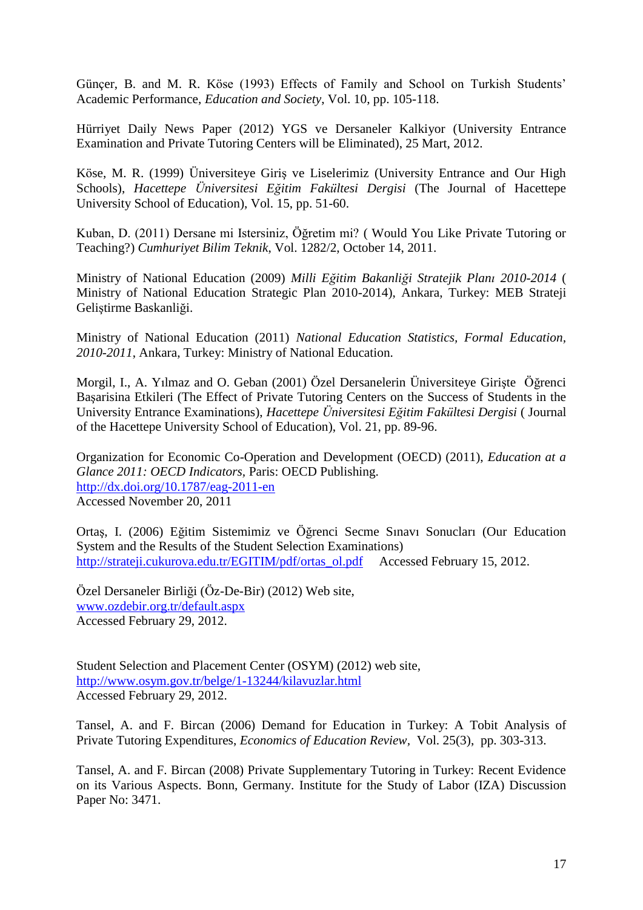Günçer, B. and M. R. Köse (1993) Effects of Family and School on Turkish Students' Academic Performance, *Education and Society*, Vol. 10, pp. 105-118.

Hürriyet Daily News Paper (2012) YGS ve Dersaneler Kalkiyor (University Entrance Examination and Private Tutoring Centers will be Eliminated), 25 Mart, 2012.

Köse, M. R. (1999) Üniversiteye Giriş ve Liselerimiz (University Entrance and Our High Schools), *Hacettepe Üniversitesi Eğitim Fakültesi Dergisi* (The Journal of Hacettepe University School of Education), Vol. 15, pp. 51-60.

Kuban, D. (2011) Dersane mi Istersiniz, Öğretim mi? ( Would You Like Private Tutoring or Teaching?) *Cumhuriyet Bilim Teknik*, Vol. 1282/2, October 14, 2011.

Ministry of National Education (2009) *Milli Eğitim Bakanliği Stratejik Planı 2010-2014* ( Ministry of National Education Strategic Plan 2010-2014), Ankara, Turkey: MEB Strateji Geliştirme Baskanliği.

Ministry of National Education (2011) *National Education Statistics, Formal Education, 2010-2011*, Ankara, Turkey: Ministry of National Education.

Morgil, I., A. Yılmaz and O. Geban (2001) Özel Dersanelerin Üniversiteye Girişte Öğrenci Başarisina Etkileri (The Effect of Private Tutoring Centers on the Success of Students in the University Entrance Examinations), *Hacettepe Üniversitesi Eğitim Fakültesi Dergisi* ( Journal of the Hacettepe University School of Education), Vol. 21, pp. 89-96.

Organization for Economic Co-Operation and Development (OECD) (2011), *Education at a Glance 2011: OECD Indicators,* Paris: OECD Publishing. <http://dx.doi.org/10.1787/eag-2011-en> Accessed November 20, 2011

Ortaş, I. (2006) Eğitim Sistemimiz ve Öğrenci Secme Sınavı Sonucları (Our Education System and the Results of the Student Selection Examinations) [http://strateji.cukurova.edu.tr/EGITIM/pdf/ortas\\_ol.pdf](http://strateji.cukurova.edu.tr/EGITIM/pdf/ortas_ol.pdf) Accessed February 15, 2012.

Özel Dersaneler Birliği (Öz-De-Bir) (2012) Web site, [www.ozdebir.org.tr/default.aspx](http://www.ozdebir.org.tr/default.aspx) Accessed February 29, 2012.

Student Selection and Placement Center (OSYM) (2012) web site, <http://www.osym.gov.tr/belge/1-13244/kilavuzlar.html> Accessed February 29, 2012.

Tansel, A. and F. Bircan (2006) Demand for Education in Turkey: A Tobit Analysis of Private Tutoring Expenditures, *Economics of Education Review,* Vol. 25(3), pp. 303-313.

Tansel, A. and F. Bircan (2008) Private Supplementary Tutoring in Turkey: Recent Evidence on its Various Aspects. Bonn, Germany. Institute for the Study of Labor (IZA) Discussion Paper No: 3471.